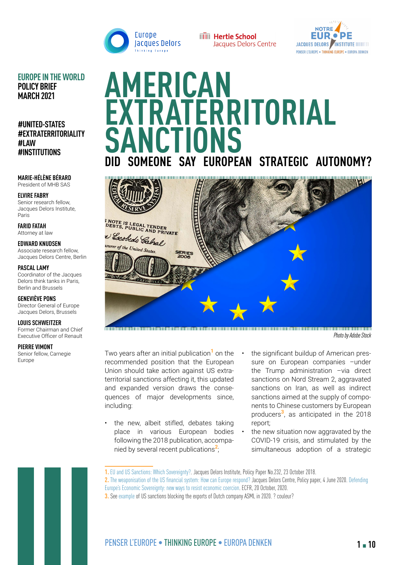



**EUROPE IN THE WORLD POLICY BRIEF MARCH 2021**

**#UNITED-STATES #EXTRATERRITORIALITY #LAW #INSTITUTIONS**

**MARIE-HÉLÈNE BÉRARD**  President of MHB SAS

**ELVIRE FABRY**  Senior research fellow, Jacques Delors Institute, Paris

**FARID FATAH**  Attorney at law

**EDWARD KNUDSEN** Associate research fellow, Jacques Delors Centre, Berlin

**PASCAL LAMY**  Coordinator of the Jacques Delors think tanks in Paris, Berlin and Brussels

**GENEVIÈVE PONS**  Director General of Europe Jacques Delors, Brussels

**LOUIS SCHWEITZER** 

Former Chairman and Chief Executive Officer of Renault

#### **PIERRE VIMONT**

Senior fellow, Carnegie Europe

# **AMERICAN EXTRATERRITORIAL SANCTIONS** SOMEONE SAY EUROPEAN STRATEGIC AUTONOMY?



*Photo by Adobe Stock*

Two years after an initial publication**1** on the recommended position that the European Union should take action against US extraterritorial sanctions affecting it, this updated and expanded version draws the consequences of major developments since, including:

- the new, albeit stifled, debates taking place in various European bodies following the 2018 publication, accompanied by several recent publications**2**;
- the significant buildup of American pressure on European companies -under the Trump administration –via direct sanctions on Nord Stream 2, aggravated sanctions on Iran, as well as indirect sanctions aimed at the supply of components to Chinese customers by European producers**3**, as anticipated in the 2018 report;
- the new situation now aggravated by the COVID-19 crisis, and stimulated by the simultaneous adoption of a strategic

**2.** [The weaponisation of the US financial system: How can Europe respond?](https://www.delorscentre.eu/en/publications/detail/publication/the-weaponisation-of-the-us-financial-system-how-can-europe-respond) Jacques Delors Centre, Policy paper, 4 June 2020. [Defending](https://ecfr.eu/publication/defending_europe_economic_sovereignty_new_ways_to_resist_economic_coercion/)  [Europe's Economic Sovereignty: new ways to resist economic coercion](https://ecfr.eu/publication/defending_europe_economic_sovereignty_new_ways_to_resist_economic_coercion/). ECFR, 20 October, 2020.

**3.** See [example](https://www.bloomberg.com/opinion/articles/2020-01-16/dutch-ban-raises-stakes-in-u-s-china-technology-war) of US sanctions blocking the exports of Dutch company ASML in 2020. ? couleur?

**<sup>1.</sup>** [EU and US Sanctions: Which Sovereignty?](https://institutdelors.eu/en/publications/leurope-face-aux-sanctions-americaines-quelle-souverainete/). Jacques Delors Institute, Policy Paper No.232, 23 October 2018.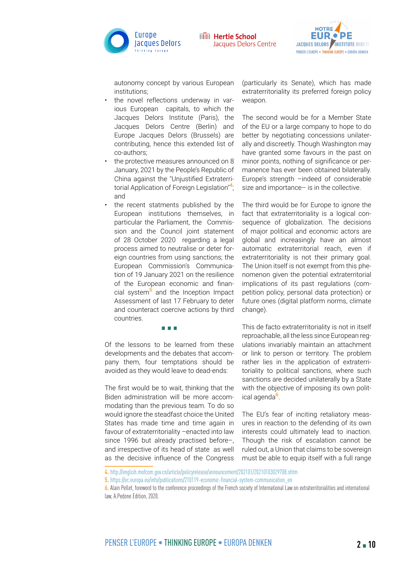



autonomy concept by various European institutions;

- the novel reflections underway in various European capitals, to which the Jacques Delors Institute (Paris), the Jacques Delors Centre (Berlin) and Europe Jacques Delors (Brussels) are contributing, hence this extended list of co-authors;
- the protective measures announced on 8 January, 2021 by the People's Republic of China against the "Unjustified Extraterritorial Application of Foreign Legislation"**4**; and
- the recent statments published by the European institutions themselves, in particular the Parliament, the Commission and the Council joint statement of 28 October 2020 regarding a legal process aimed to neutralise or deter foreign countries from using sanctions; the European Commission's Communication of 19 January 2021 on the resilience of the European economic and financial system**5** and the Inception Impact Assessment of last 17 February to deter and counteract coercive actions by third countries.

▪ ▪ ▪

Of the lessons to be learned from these developments and the debates that accompany them, four temptations should be avoided as they would leave to dead-ends:

The first would be to wait, thinking that the Biden administration will be more accommodating than the previous team. To do so would ignore the steadfast choice the United States has made time and time again in favour of extraterritoriality –enacted into law since 1996 but already practised before–, and irrespective of its head of state as well as the decisive influence of the Congress

(particularly its Senate), which has made extraterritoriality its preferred foreign policy weapon.

The second would be for a Member State of the EU or a large company to hope to do better by negotiating concessions unilaterally and discreetly. Though Washington may have granted some favours in the past on minor points, nothing of significance or permanence has ever been obtained bilaterally. Europe's strength –indeed of considerable size and importance– is in the collective.

The third would be for Europe to ignore the fact that extraterritoriality is a logical consequence of globalization. The decisions of major political and economic actors are global and increasingly have an almost automatic extraterritorial reach, even if extraterritoriality is not their primary goal. The Union itself is not exempt from this phenomenon given the potential extraterritorial implications of its past regulations (competition policy, personal data protection) or future ones (digital platform norms, climate change).

This de facto extraterritoriality is not in itself reproachable, all the less since European regulations invariably maintain an attachment or link to person or territory. The problem rather lies in the application of extraterritoriality to political sanctions, where such sanctions are decided unilaterally by a State with the objective of imposing its own political agenda**6**.

The EU's fear of inciting retaliatory measures in reaction to the defending of its own interests could ultimately lead to inaction. Though the risk of escalation cannot be ruled out, a Union that claims to be sovereign must be able to equip itself with a full range

**<sup>4.</sup>** <http://english.mofcom.gov.cn/article/policyrelease/announcement/202101/20210103029708.shtm>

**<sup>5.</sup>** [https://ec.europa.eu/info/publications/210119-economic-financial-system-communication\\_en](https://ec.europa.eu/info/publications/210119-economic-financial-system-communication_en)

**<sup>6.</sup>** Alain Pellet, foreword to the conference proceedings of the French society of International Law on extraterritorialities and international law, A.Pedone Edition, 2020.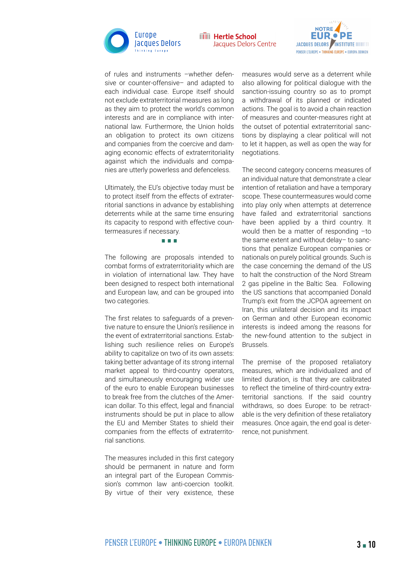



of rules and instruments –whether defensive or counter-offensive– and adapted to each individual case. Europe itself should not exclude extraterritorial measures as long as they aim to protect the world's common interests and are in compliance with international law. Furthermore, the Union holds an obligation to protect its own citizens and companies from the coercive and damaging economic effects of extraterritoriality against which the individuals and companies are utterly powerless and defenceless.

Ultimately, the EU's objective today must be to protect itself from the effects of extraterritorial sanctions in advance by establishing deterrents while at the same time ensuring its capacity to respond with effective countermeasures if necessary.

#### ▪ ▪ ▪

The following are proposals intended to combat forms of extraterritoriality which are in violation of international law. They have been designed to respect both international and European law, and can be grouped into two categories.

The first relates to safeguards of a preventive nature to ensure the Union's resilience in the event of extraterritorial sanctions. Establishing such resilience relies on Europe's ability to capitalize on two of its own assets: taking better advantage of its strong internal market appeal to third-country operators, and simultaneously encouraging wider use of the euro to enable European businesses to break free from the clutches of the American dollar. To this effect, legal and financial instruments should be put in place to allow the EU and Member States to shield their companies from the effects of extraterritorial sanctions.

The measures included in this first category should be permanent in nature and form an integral part of the European Commission's common law anti-coercion toolkit. By virtue of their very existence, these

measures would serve as a deterrent while also allowing for political dialogue with the sanction-issuing country so as to prompt a withdrawal of its planned or indicated actions. The goal is to avoid a chain reaction of measures and counter-measures right at the outset of potential extraterritorial sanctions by displaying a clear political will not to let it happen, as well as open the way for negotiations.

The second category concerns measures of an individual nature that demonstrate a clear intention of retaliation and have a temporary scope. These countermeasures would come into play only when attempts at deterrence have failed and extraterritorial sanctions have been applied by a third country. It would then be a matter of responding –to the same extent and without delay– to sanctions that penalize European companies or nationals on purely political grounds. Such is the case concerning the demand of the US to halt the construction of the Nord Stream 2 gas pipeline in the Baltic Sea. Following the US sanctions that accompanied Donald Trump's exit from the JCPOA agreement on Iran, this unilateral decision and its impact on German and other European economic interests is indeed among the reasons for the new-found attention to the subject in Brussels.

The premise of the proposed retaliatory measures, which are individualized and of limited duration, is that they are calibrated to reflect the timeline of third-country extraterritorial sanctions. If the said country withdraws, so does Europe: to be retractable is the very definition of these retaliatory measures. Once again, the end goal is deterrence, not punishment.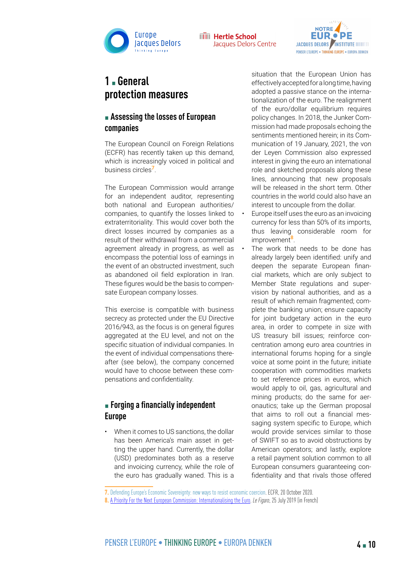



# **1** ▪ **General protection measures**

#### **Example 3 Assessing the losses of European companies**

The European Council on Foreign Relations (ECFR) has recently taken up this demand, which is increasingly voiced in political and business circles**7**.

The European Commission would arrange for an independent auditor, representing both national and European authorities/ companies, to quantify the losses linked to extraterritoriality. This would cover both the direct losses incurred by companies as a result of their withdrawal from a commercial agreement already in progress, as well as encompass the potential loss of earnings in the event of an obstructed investment, such as abandoned oil field exploration in Iran. These figures would be the basis to compensate European company losses.

This exercise is compatible with business secrecy as protected under the [EU Directive](https://eur-lex.europa.eu/legal-content/EN/TXT/HTML/?uri=CELEX:32016L0943&from=FR) [2016/943,](https://eur-lex.europa.eu/legal-content/EN/TXT/HTML/?uri=CELEX:32016L0943&from=FR) as the focus is on general figures aggregated at the EU level, and not on the specific situation of individual companies. In the event of individual compensations thereafter (see below), the company concerned would have to choose between these compensations and confidentiality.

#### ■ **Forging a financially independent Europe**

• When it comes to US sanctions, the dollar has been America's main asset in getting the upper hand. Currently, the dollar (USD) predominates both as a reserve and invoicing currency, while the role of the euro has gradually waned. This is a situation that the European Union has effectively accepted for a long time, having adopted a passive stance on the internationalization of the euro. The realignment of the euro/dollar equilibrium requires policy changes. In 2018, the Junker Commission had made proposals echoing the sentiments mentioned herein; in its Communication of 19 January, 2021, the von der Leyen Commission also expressed interest in giving the euro an international role and sketched proposals along these lines, announcing that new proposals will be released in the short term. Other countries in the world could also have an interest to uncouple from the dollar.

- Europe itself uses the euro as an invoicing currency for less than 50% of its imports, thus leaving considerable room for improvement**8**.
	- The work that needs to be done has already largely been identified: unify and deepen the separate European financial markets, which are only subject to Member State regulations and supervision by national authorities, and as a result of which remain fragmented; complete the banking union; ensure capacity for joint budgetary action in the euro area, in order to compete in size with US treasury bill issues; reinforce concentration among euro area countries in international forums hoping for a single voice at some point in the future; initiate cooperation with commodities markets to set reference prices in euros, which would apply to oil, gas, agricultural and mining products; do the same for aeronautics; take up the German proposal that aims to roll out a financial messaging system specific to Europe, which would provide services similar to those of SWIFT so as to avoid obstructions by American operators; and lastly, explore a retail payment solution common to all European consumers guaranteeing confidentiality and that rivals those offered

**<sup>7.</sup>** [Defending Europe's Economic Sovereignty: new ways to resist economic coercion](https://ecfr.eu/publication/defending_europe_economic_sovereignty_new_ways_to_resist_economic_coercion/). ECFR, 20 October 2020.

**<sup>8.</sup>** [A Priority For the Next European Commission: Internationalising the Euro](https://www.lefigaro.fr/vox/economie/une-priorite-pour-la-prochaine-commission-europeenne-internationaliser-l-euro-20190725). *Le Figaro*, 25 July 2019 (in French)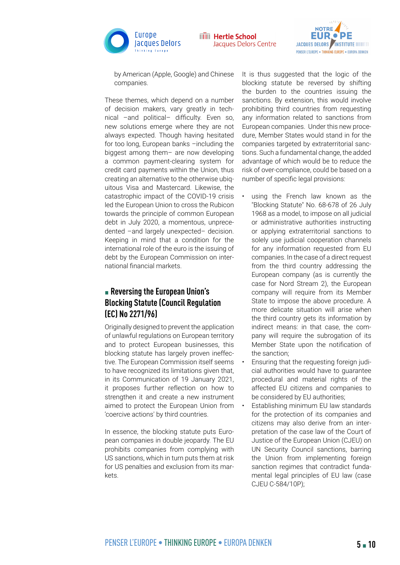



by American (Apple, Google) and Chinese companies.

These themes, which depend on a number of decision makers, vary greatly in technical –and political– difficulty. Even so, new solutions emerge where they are not always expected. Though having hesitated for too long, European banks –including the biggest among them– are now developing a common payment-clearing system for credit card payments within the Union, thus creating an alternative to the otherwise ubiquitous Visa and Mastercard. Likewise, the catastrophic impact of the COVID-19 crisis led the European Union to cross the Rubicon towards the principle of common European debt in July 2020, a momentous, unprecedented –and largely unexpected– decision. Keeping in mind that a condition for the international role of the euro is the issuing of debt by the European Commission on international financial markets.

## ▪ **Reversing the European Union's Blocking Statute [\(Council Regulation](https://eur-lex.europa.eu/legal-content/EN/TXT/?uri=CELEX:01996R2271-20140220)  [\(EC\) No 2271/96\)](https://eur-lex.europa.eu/legal-content/EN/TXT/?uri=CELEX:01996R2271-20140220)**

Originally designed to prevent the application of unlawful regulations on European territory and to protect European businesses, this blocking statute has largely proven ineffective. The European Commission itself seems to have recognized its limitations given that, in its Communication of 19 January 2021, it proposes further reflection on how to strengthen it and create a new instrument aimed to protect the European Union from 'coercive actions' by third countries.

In essence, the blocking statute puts European companies in double jeopardy. The EU prohibits companies from complying with US sanctions, which in turn puts them at risk for US penalties and exclusion from its markets.

It is thus suggested that the logic of the blocking statute be reversed by shifting the burden to the countries issuing the sanctions. By extension, this would involve prohibiting third countries from requesting any information related to sanctions from European companies. Under this new procedure, Member States would stand in for the companies targeted by extraterritorial sanctions. Such a fundamental change, the added advantage of which would be to reduce the risk of over-compliance, could be based on a number of specific legal provisions:

- using the French law known as the "Blocking Statute" No. 68-678 of 26 July 1968 as a model, to impose on all judicial or administrative authorities instructing or applying extraterritorial sanctions to solely use judicial cooperation channels for any information requested from EU companies. In the case of a direct request from the third country addressing the European company (as is currently the case for Nord Stream 2), the European company will require from its Member State to impose the above procedure. A more delicate situation will arise when the third country gets its information by indirect means: in that case, the company will require the subrogation of its Member State upon the notification of the sanction;
- Ensuring that the requesting foreign judicial authorities would have to guarantee procedural and material rights of the affected EU citizens and companies to be considered by EU authorities;
- Establishing minimum EU law standards for the protection of its companies and citizens may also derive from an interpretation of the case law of the Court of Justice of the European Union (CJEU) on UN Security Council sanctions, barring the Union from implementing foreign sanction regimes that contradict fundamental legal principles of EU law (case CJEU C-584/10P);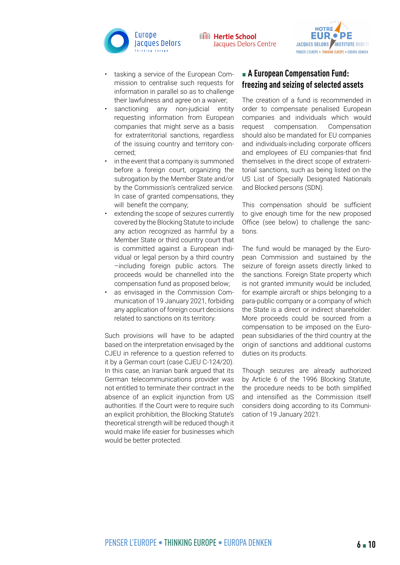



- tasking a service of the European Commission to centralise such requests for information in parallel so as to challenge their lawfulness and agree on a waiver;
- sanctioning any non-judicial entity requesting information from European companies that might serve as a basis for extraterritorial sanctions, regardless of the issuing country and territory concerned;
- in the event that a company is summoned before a foreign court, organizing the subrogation by the Member State and/or by the Commission's centralized service. In case of granted compensations, they will benefit the company;
- extending the scope of seizures currently covered by the Blocking Statute to include any action recognized as harmful by a Member State or third country court that is committed against a European individual or legal person by a third country –including foreign public actors. The proceeds would be channelled into the compensation fund as proposed below;
- as envisaged in the Commission Communication of 19 January 2021, forbiding any application of foreign court decisions related to sanctions on its territory.

Such provisions will have to be adapted based on the interpretation envisaged by the CJEU in reference to a question referred to it by a German court (case CJEU C-124/20). In this case, an Iranian bank argued that its German telecommunications provider was not entitled to terminate their contract in the absence of an explicit injunction from US authorities. If the Court were to require such an explicit prohibition, the Blocking Statute's theoretical strength will be reduced though it would make life easier for businesses which would be better protected.

## ▪ **A European Compensation Fund: freezing and seizing of selected assets**

The creation of a fund is recommended in order to compensate penalised European companies and individuals which would request compensation. Compensation should also be mandated for EU companies and individuals-including corporate officers and employees of EU companies-that find themselves in the direct scope of extraterritorial sanctions, such as being listed on the US List of Specially Designated Nationals and Blocked persons (SDN).

This compensation should be sufficient to give enough time for the new proposed Office (see below) to challenge the sanctions.

The fund would be managed by the European Commission and sustained by the seizure of foreign assets directly linked to the sanctions. Foreign State property which is not granted immunity would be included, for example aircraft or ships belonging to a para-public company or a company of which the State is a direct or indirect shareholder. More proceeds could be sourced from a compensation to be imposed on the European subsidiaries of the third country at the origin of sanctions and additional customs duties on its products.

Though seizures are already authorized by Article 6 of the 1996 Blocking Statute, the procedure needs to be both simplified and intensified as the Commission itself considers doing according to its Communication of 19 January 2021.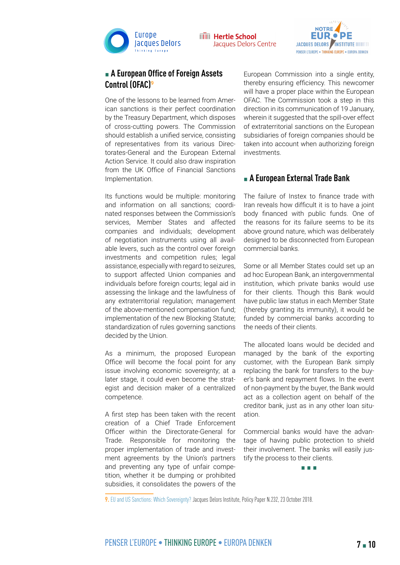



#### ■ A European Office of Foreign Assets **Control (OFAC)<sup>9</sup>**

One of the lessons to be learned from American sanctions is their perfect coordination by the Treasury Department, which disposes of cross-cutting powers. The Commission should establish a unified service, consisting of representatives from its various Directorates-General and the European External Action Service. It could also draw inspiration from the UK Office of Financial Sanctions Implementation.

Its functions would be multiple: monitoring and information on all sanctions; coordinated responses between the Commission's services, Member States and affected companies and individuals; development of negotiation instruments using all available levers, such as the control over foreign investments and competition rules; legal assistance, especially with regard to seizures, to support affected Union companies and individuals before foreign courts; legal aid in assessing the linkage and the lawfulness of any extraterritorial regulation; management of the above-mentioned compensation fund; implementation of the new Blocking Statute; standardization of rules governing sanctions decided by the Union.

As a minimum, the proposed European Office will become the focal point for any issue involving economic sovereignty; at a later stage, it could even become the strategist and decision maker of a centralized competence.

A first step has been taken with the recent creation of a Chief Trade Enforcement Officer within the Directorate-General for Trade. Responsible for monitoring the proper implementation of trade and investment agreements by the Union's partners and preventing any type of unfair competition, whether it be dumping or prohibited subsidies, it consolidates the powers of the

European Commission into a single entity, thereby ensuring efficiency. This newcomer will have a proper place within the European OFAC. The Commission took a step in this direction in its communication of 19 January, wherein it suggested that the spill-over effect of extraterritorial sanctions on the European subsidiaries of foreign companies should be taken into account when authorizing foreign investments.

#### ■ A European External Trade Bank

The failure of Instex to finance trade with Iran reveals how difficult it is to have a joint body financed with public funds. One of the reasons for its failure seems to be its above ground nature, which was deliberately designed to be disconnected from European commercial banks.

Some or all Member States could set up an ad hoc European Bank, an intergovernmental institution, which private banks would use for their clients. Though this Bank would have public law status in each Member State (thereby granting its immunity), it would be funded by commercial banks according to the needs of their clients.

The allocated loans would be decided and managed by the bank of the exporting customer, with the European Bank simply replacing the bank for transfers to the buyer's bank and repayment flows. In the event of non-payment by the buyer, the Bank would act as a collection agent on behalf of the creditor bank, just as in any other loan situation.

Commercial banks would have the advantage of having public protection to shield their involvement. The banks will easily justify the process to their clients.



**9.** [EU and US Sanctions: Which Sovereignty](https://institutdelors.eu/en/publications/leurope-face-aux-sanctions-americaines-quelle-souverainete/)? Jacques Delors Institute, Policy Paper N.232, 23 October 2018.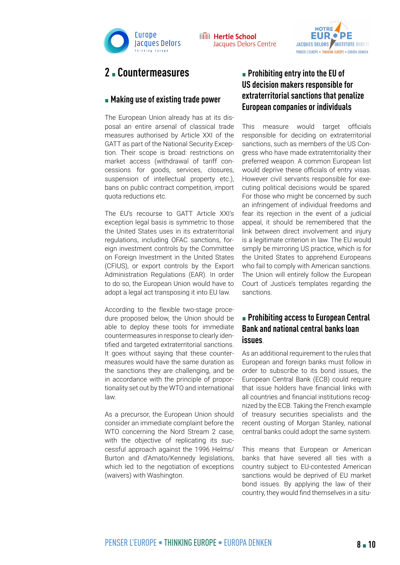



## **2** ▪ **Countermeasures**

#### **EXA** Making use of existing trade power

The European Union already has at its disposal an entire arsenal of classical trade measures authorised by Article XXI of the GATT as part of the National Security Exception. Their scope is broad: restrictions on market access (withdrawal of tariff concessions for goods, services, closures, suspension of intellectual property etc.), bans on public contract competition, import quota reductions etc.

The EU's recourse to GATT Article XXI's exception legal basis is symmetric to those the United States uses in its extraterritorial regulations, including OFAC sanctions, foreign investment controls by the Committee on Foreign Investment in the United States (CFIUS), or export controls by the Export Administration Regulations (EAR). In order to do so, the European Union would have to adopt a legal act transposing it into EU law.

According to the flexible two-stage procedure proposed below, the Union should be able to deploy these tools for immediate countermeasures in response to clearly identified and targeted extraterritorial sanctions. It goes without saying that these countermeasures would have the same duration as the sanctions they are challenging, and be in accordance with the principle of proportionality set out by the WTO and international law.

As a precursor, the European Union should consider an immediate complaint before the WTO concerning the Nord Stream 2 case, with the objective of replicating its successful approach against the 1996 Helms/ Burton and d'Amato/Kennedy legislations, which led to the negotiation of exceptions (waivers) with Washington.

## ▪ **Prohibiting entry into the EU of US decision makers responsible for extraterritorial sanctions that penalize European companies or individuals**

This measure would target officials responsible for deciding on extraterritorial sanctions, such as members of the US Congress who have made extraterritoriality their preferred weapon. A common European list would deprive these officials of entry visas. However civil servants responsible for executing political decisions would be spared. For those who might be concerned by such an infringement of individual freedoms and fear its rejection in the event of a judicial appeal, it should be remembered that the link between direct involvement and injury is a legitimate criterion in law. The EU would simply be mirroring US practice, which is for the United States to apprehend Europeans who fail to comply with American sanctions. The Union will entirely follow the European Court of Justice's templates regarding the sanctions.

#### ■ Prohibiting access to European Central **Bank and national central banks loan issues**.

As an additional requirement to the rules that European and foreign banks must follow in order to subscribe to its bond issues, the European Central Bank (ECB) could require that issue holders have financial links with all countries and financial institutions recognized by the ECB. Taking the French example of treasury securities specialists and the recent ousting of Morgan Stanley, national central banks could adopt the same system.

This means that European or American banks that have severed all ties with a country subject to EU-contested American sanctions would be deprived of EU market bond issues. By applying the law of their country, they would find themselves in a situ-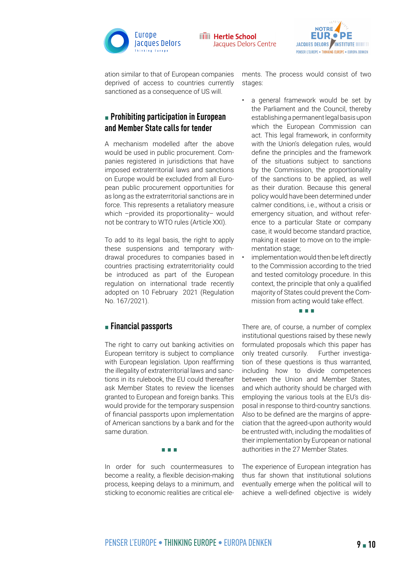



ation similar to that of European companies deprived of access to countries currently sanctioned as a consequence of US will.

#### **Example 2 Prohibiting participation in European and Member State calls for tender**

A mechanism modelled after the above would be used in public procurement. Companies registered in jurisdictions that have imposed extraterritorial laws and sanctions on Europe would be excluded from all European public procurement opportunities for as long as the extraterritorial sanctions are in force. This represents a retaliatory measure which -provided its proportionality- would not be contrary to WTO rules (Article XXI).

To add to its legal basis, the right to apply these suspensions and temporary withdrawal procedures to companies based in countries practising extraterritoriality could be introduced as part of the European regulation on international trade recently adopted on 10 February 2021 (Regulation No. 167/2021).

#### ▪ **Financial passports**

The right to carry out banking activities on European territory is subject to compliance with European legislation. Upon reaffirming the illegality of extraterritorial laws and sanctions in its rulebook, the EU could thereafter ask Member States to review the licenses granted to European and foreign banks. This would provide for the temporary suspension of financial passports upon implementation of American sanctions by a bank and for the same duration.

▪ ▪ ▪

In order for such countermeasures to become a reality, a flexible decision-making process, keeping delays to a minimum, and sticking to economic realities are critical elements. The process would consist of two stages:

- a general framework would be set by the Parliament and the Council, thereby establishing a permanent legal basis upon which the European Commission can act. This legal framework, in conformity with the Union's delegation rules, would define the principles and the framework of the situations subject to sanctions by the Commission, the proportionality of the sanctions to be applied, as well as their duration. Because this general policy would have been determined under calmer conditions, i.e., without a crisis or emergency situation, and without reference to a particular State or company case, it would become standard practice, making it easier to move on to the implementation stage;
- implementation would then be left directly to the Commission according to the tried and tested comitology procedure. In this context, the principle that only a qualified majority of States could prevent the Commission from acting would take effect.

▪ ▪ ▪

There are, of course, a number of complex institutional questions raised by these newly formulated proposals which this paper has only treated cursorily. Further investigation of these questions is thus warranted, including how to divide competences between the Union and Member States, and which authority should be charged with employing the various tools at the EU's disposal in response to third-country sanctions. Also to be defined are the margins of appreciation that the agreed-upon authority would be entrusted with, including the modalities of their implementation by European or national authorities in the 27 Member States.

The experience of European integration has thus far shown that institutional solutions eventually emerge when the political will to achieve a well-defined objective is widely